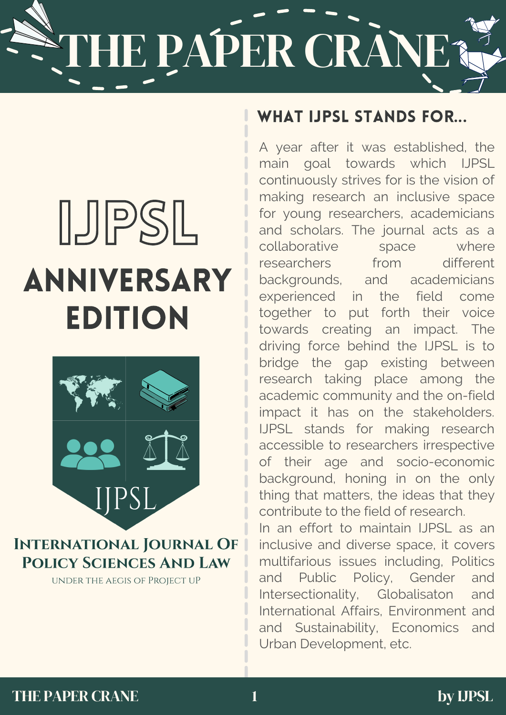# THE PAPER CRANE?

## IJPSL ANNIVERSARY EDITION



### **INTERNATIONAL JOURNAL OF POLICY SCIENCES AND LAW**

UNDER THE AEGIS OF PROJECT UP

#### WHAT IJPSL STANDS FOR...

A year after it was established, the main goal towards which IJPSL continuously strives for is the vision of making research an inclusive space for young researchers, academicians and scholars. The journal acts as a collaborative space where researchers from different backgrounds, and academicians experienced in the field come together to put forth their voice towards creating an impact. The driving force behind the IJPSL is to bridge the gap existing between research taking place among the academic community and the on-field impact it has on the stakeholders. IJPSL stands for making research accessible to researchers irrespective of their age and socio-economic background, honing in on the only thing that matters, the ideas that they contribute to the field of research. In an effort to maintain IJPSL as an

inclusive and diverse space, it covers multifarious issues including, Politics and Public Policy, Gender and Intersectionality, Globalisaton and International Affairs, Environment and and Sustainability, Economics and Urban Development, etc.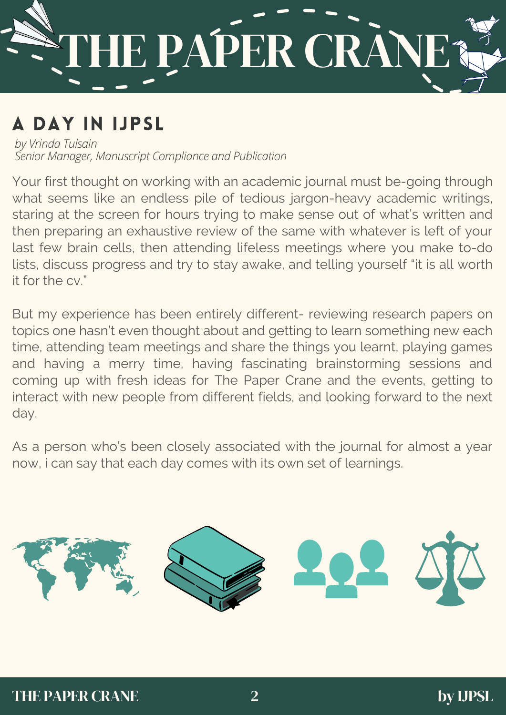

### A DAY IN IJPSL

*by Vrinda Tulsain Senior Manager, Manuscript Compliance and Publication*

Your first thought on working with an academic journal must be-going through what seems like an endless pile of tedious jargon-heavy academic writings, staring at the screen for hours trying to make sense out of what's written and then preparing an exhaustive review of the same with whatever is left of your last few brain cells, then attending lifeless meetings where you make to-do lists, discuss progress and try to stay awake, and telling yourself "it is all worth it for the cv."

But my experience has been entirely different- reviewing research papers on topics one hasn't even thought about and getting to learn something new each time, attending team meetings and share the things you learnt, playing games and having a merry time, having fascinating brainstorming sessions and coming up with fresh ideas for The Paper Crane and the events, getting to interact with new people from different fields, and looking forward to the next day.

As a person who's been closely associated with the journal for almost a year now, i can say that each day comes with its own set of learnings.

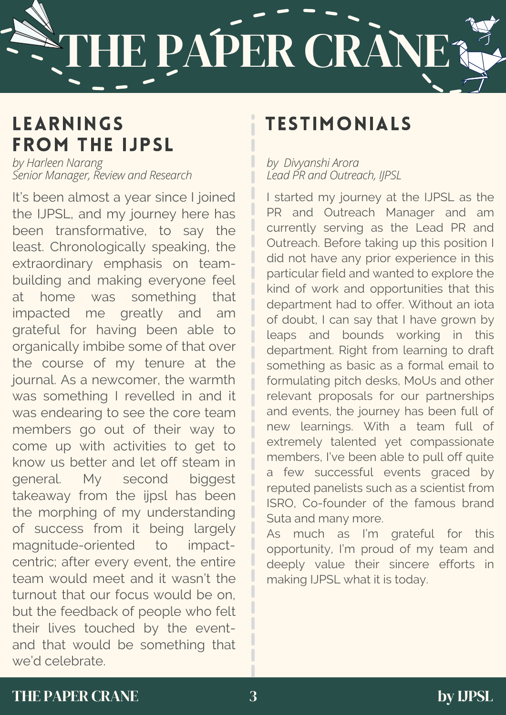# HE PAPER CRANE?

### LEARNINGS FROM THE IJPSL

*by Harleen Narang Senior Manager, Review and Research*

It's been almost a year since I joined the IJPSL, and my journey here has been transformative, to say the least. Chronologically speaking, the extraordinary emphasis on teambuilding and making everyone feel at home was something that impacted me greatly and am grateful for having been able to organically imbibe some of that over the course of my tenure at the journal. As a newcomer, the warmth was something I revelled in and it was endearing to see the core team members go out of their way to come up with activities to get to know us better and let off steam in general. My second biggest takeaway from the ijpsl has been the morphing of my understanding of success from it being largely magnitude-oriented to impactcentric; after every event, the entire team would meet and it wasn't the turnout that our focus would be on, but the feedback of people who felt their lives touched by the eventand that would be something that we'd celebrate.

### TESTIMONIALS

*by Divyanshi Arora Lead PR and Outreach, IJPSL*

I started my journey at the IJPSL as the PR and Outreach Manager and am currently serving as the Lead PR and Outreach. Before taking up this position I did not have any prior experience in this particular field and wanted to explore the kind of work and opportunities that this department had to offer. Without an iota of doubt, I can say that I have grown by leaps and bounds working in this department. Right from learning to draft something as basic as a formal email to formulating pitch desks, MoUs and other relevant proposals for our partnerships and events, the journey has been full of new learnings. With a team full of extremely talented yet compassionate members, I've been able to pull off quite a few successful events graced by reputed panelists such as a scientist from ISRO, Co-founder of the famous brand Suta and many more.

As much as I'm grateful for this opportunity, I'm proud of my team and deeply value their sincere efforts in making IJPSL what it is today.

THE PAPER CRANE 3 by IJPSL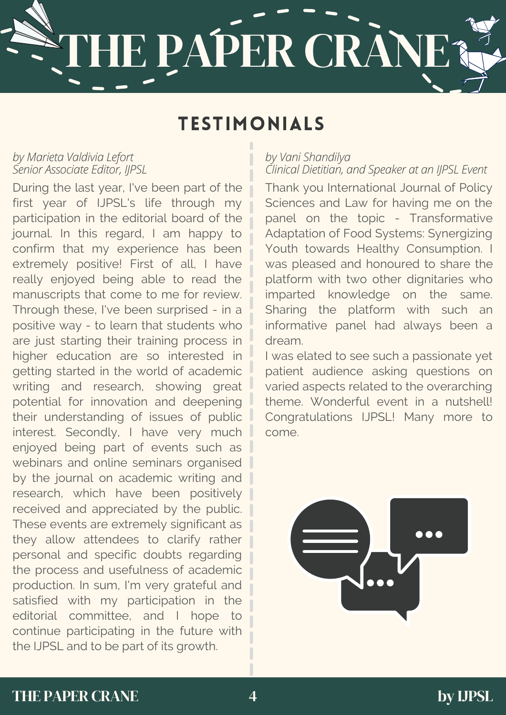## HE PAPER CRANE?

### TESTIMONIALS

#### *by Marieta Valdivia Lefort Senior Associate Editor, IJPSL*

During the last year, I've been part of the first year of IJPSL's life through my participation in the editorial board of the journal. In this regard, I am happy to confirm that my experience has been extremely positive! First of all, I have really enjoyed being able to read the manuscripts that come to me for review. Through these, I've been surprised - in a positive way - to learn that students who are just starting their training process in higher education are so interested in getting started in the world of academic writing and research, showing great potential for innovation and deepening their understanding of issues of public interest. Secondly, I have very much enjoyed being part of events such as webinars and online seminars organised by the journal on academic writing and research, which have been positively received and appreciated by the public. These events are extremely significant as they allow attendees to clarify rather personal and specific doubts regarding the process and usefulness of academic production. In sum, I'm very grateful and satisfied with my participation in the editorial committee, and I hope to continue participating in the future with the IJPSL and to be part of its growth.

#### *by Vani Shandilya*

*Clinical Dietitian, and Speaker at an IJPSL Event*

Thank you International Journal of Policy Sciences and Law for having me on the panel on the topic - Transformative Adaptation of Food Systems: Synergizing Youth towards Healthy Consumption. I was pleased and honoured to share the platform with two other dignitaries who imparted knowledge on the same. Sharing the platform with such an informative panel had always been a dream.

I was elated to see such a passionate yet patient audience asking questions on varied aspects related to the overarching theme. Wonderful event in a nutshell! Congratulations IJPSL! Many more to come.

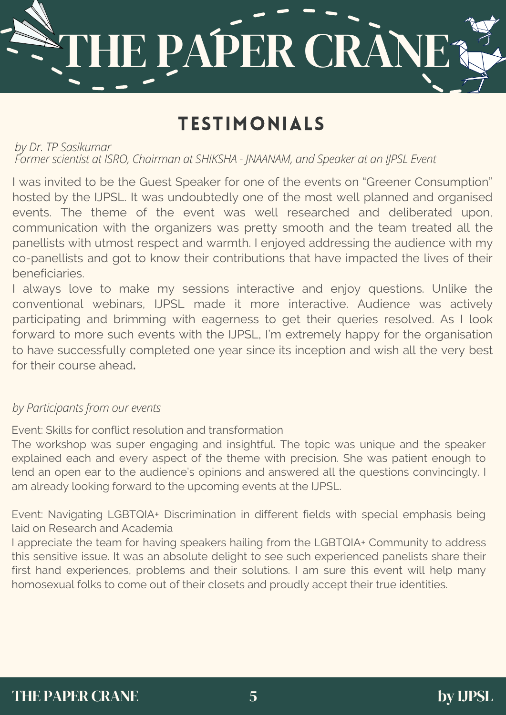## HE PAPER CRANE

## TESTIMONIALS

#### *by Dr. TP Sasikumar*

*Former scientist at ISRO, Chairman at SHIKSHA - JNAANAM, and Speaker at an IJPSL Event*

I was invited to be the Guest Speaker for one of the events on "Greener Consumption" hosted by the IJPSL. It was undoubtedly one of the most well planned and organised events. The theme of the event was well researched and deliberated upon, communication with the organizers was pretty smooth and the team treated all the panellists with utmost respect and warmth. I enjoyed addressing the audience with my co-panellists and got to know their contributions that have impacted the lives of their beneficiaries.

I always love to make my sessions interactive and enjoy questions. Unlike the conventional webinars, IJPSL made it more interactive. Audience was actively participating and brimming with eagerness to get their queries resolved. As I look forward to more such events with the IJPSL, I'm extremely happy for the organisation to have successfully completed one year since its inception and wish all the very best for their course ahead**.**

#### *by Participants from our events*

Event: Skills for conflict resolution and transformation

The workshop was super engaging and insightful. The topic was unique and the speaker explained each and every aspect of the theme with precision. She was patient enough to lend an open ear to the audience's opinions and answered all the questions convincingly. I am already looking forward to the upcoming events at the IJPSL.

Event: Navigating LGBTQIA+ Discrimination in different fields with special emphasis being laid on Research and Academia

I appreciate the team for having speakers hailing from the LGBTQIA+ Community to address this sensitive issue. It was an absolute delight to see such experienced panelists share their first hand experiences, problems and their solutions. I am sure this event will help many homosexual folks to come out of their closets and proudly accept their true identities.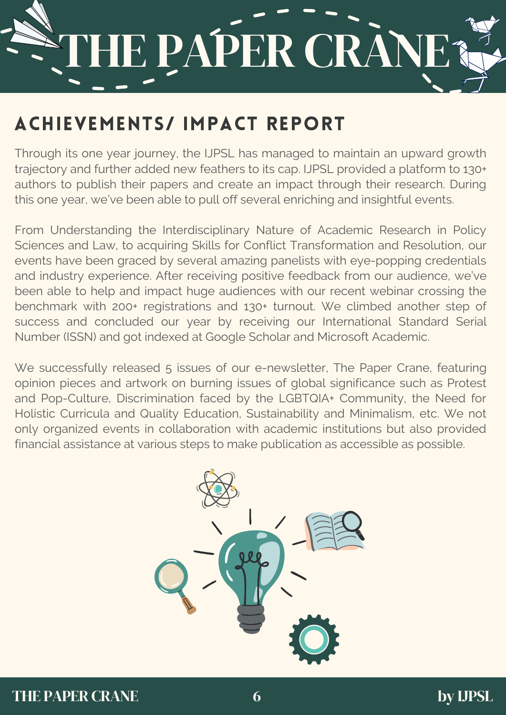# IE PAPER CRANE

### ACHIEVEMENTS/ IMPACT REPORT

Through its one year journey, the IJPSL has managed to maintain an upward growth trajectory and further added new feathers to its cap. IJPSL provided a platform to 130+ authors to publish their papers and create an impact through their research. During this one year, we've been able to pull off several enriching and insightful events.

From Understanding the Interdisciplinary Nature of Academic Research in Policy Sciences and Law, to acquiring Skills for Conflict Transformation and Resolution, our events have been graced by several amazing panelists with eye-popping credentials and industry experience. After receiving positive feedback from our audience, we've been able to help and impact huge audiences with our recent webinar crossing the benchmark with 200+ registrations and 130+ turnout. We climbed another step of success and concluded our year by receiving our International Standard Serial Number (ISSN) and got indexed at Google Scholar and Microsoft Academic.

We successfully released 5 issues of our e-newsletter, The Paper Crane, featuring opinion pieces and artwork on burning issues of global significance such as Protest and Pop-Culture, Discrimination faced by the LGBTQIA+ Community, the Need for Holistic Curricula and Quality Education, Sustainability and Minimalism, etc. We not only organized events in collaboration with academic institutions but also provided financial assistance at various steps to make publication as accessible as possible.